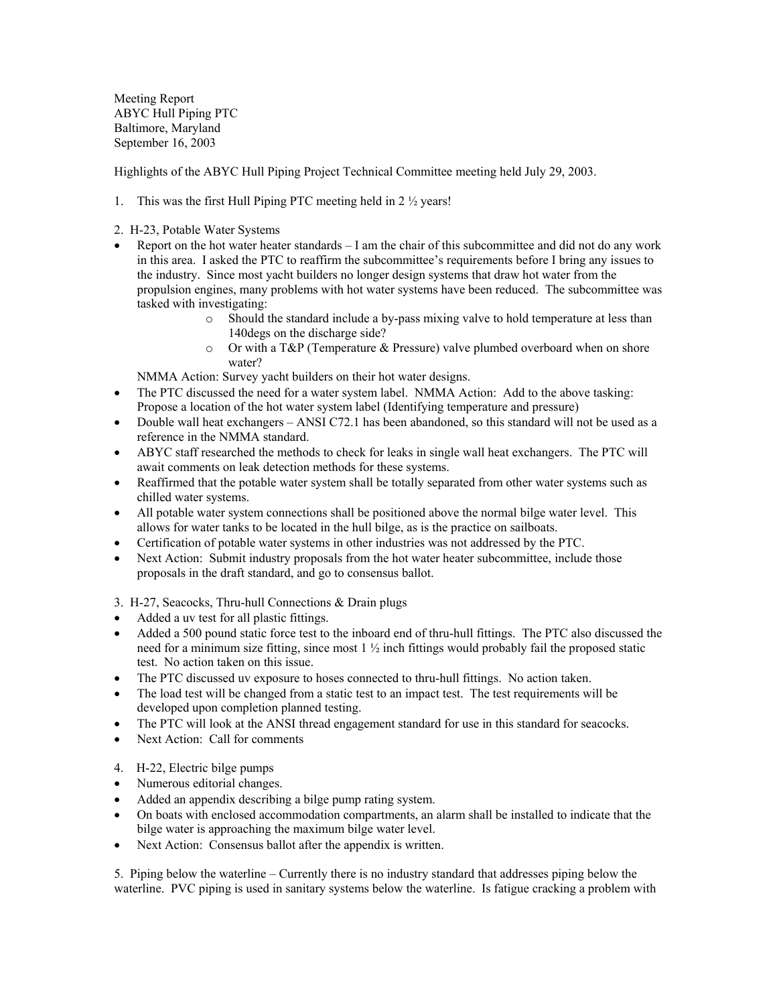Meeting Report ABYC Hull Piping PTC Baltimore, Maryland September 16, 2003

Highlights of the ABYC Hull Piping Project Technical Committee meeting held July 29, 2003.

- 1. This was the first Hull Piping PTC meeting held in 2 ½ years!
- 2. H-23, Potable Water Systems
- Report on the hot water heater standards I am the chair of this subcommittee and did not do any work in this area. I asked the PTC to reaffirm the subcommittee's requirements before I bring any issues to the industry. Since most yacht builders no longer design systems that draw hot water from the propulsion engines, many problems with hot water systems have been reduced. The subcommittee was tasked with investigating:
	- o Should the standard include a by-pass mixing valve to hold temperature at less than 140degs on the discharge side?
	- $\circ$  Or with a T&P (Temperature & Pressure) valve plumbed overboard when on shore water?

NMMA Action: Survey yacht builders on their hot water designs.

- The PTC discussed the need for a water system label. NMMA Action: Add to the above tasking: Propose a location of the hot water system label (Identifying temperature and pressure)
- Double wall heat exchangers ANSI C72.1 has been abandoned, so this standard will not be used as a reference in the NMMA standard.
- ABYC staff researched the methods to check for leaks in single wall heat exchangers. The PTC will await comments on leak detection methods for these systems.
- Reaffirmed that the potable water system shall be totally separated from other water systems such as chilled water systems.
- All potable water system connections shall be positioned above the normal bilge water level. This allows for water tanks to be located in the hull bilge, as is the practice on sailboats.
- Certification of potable water systems in other industries was not addressed by the PTC.
- Next Action: Submit industry proposals from the hot water heater subcommittee, include those proposals in the draft standard, and go to consensus ballot.
- 3. H-27, Seacocks, Thru-hull Connections & Drain plugs
- Added a uv test for all plastic fittings.
- Added a 500 pound static force test to the inboard end of thru-hull fittings. The PTC also discussed the need for a minimum size fitting, since most 1 ½ inch fittings would probably fail the proposed static test. No action taken on this issue.
- The PTC discussed uv exposure to hoses connected to thru-hull fittings. No action taken.
- The load test will be changed from a static test to an impact test. The test requirements will be developed upon completion planned testing.
- The PTC will look at the ANSI thread engagement standard for use in this standard for seacocks.
- Next Action: Call for comments
- 4. H-22, Electric bilge pumps
- Numerous editorial changes.
- Added an appendix describing a bilge pump rating system.
- On boats with enclosed accommodation compartments, an alarm shall be installed to indicate that the bilge water is approaching the maximum bilge water level.
- Next Action: Consensus ballot after the appendix is written.

5. Piping below the waterline – Currently there is no industry standard that addresses piping below the waterline. PVC piping is used in sanitary systems below the waterline. Is fatigue cracking a problem with